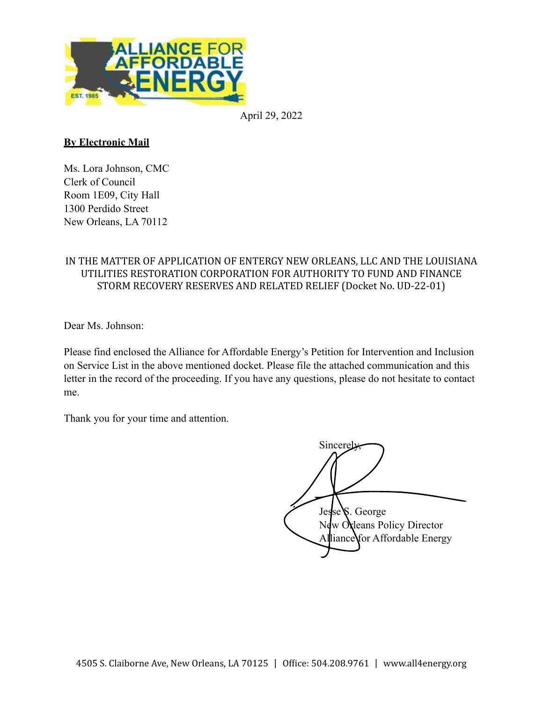

April 29, 2022

### **By Electronic Mail**

Ms. Lora Johnson, CMC Clerk of Council Room 1E09, City Hall 1300 Perdido Street New Orleans, LA 70112

### IN THE MATTER OF APPLICATION OF ENTERGY NEW ORLEANS, LLC AND THE LOUISIANA UTILITIES RESTORATION CORPORATION FOR AUTHORITY TO FUND AND FINANCE STORM RECOVERY RESERVES AND RELATED RELIEF (Docket No. UD-22-01)

Dear Ms. Johnson:

Please find enclosed the Alliance for Affordable Energy's Petition for Intervention and Inclusion on Service List in the above mentioned docket. Please file the attached communication and this letter in the record of the proceeding. If you have any questions, please do not hesitate to contact me.

Thank you for your time and attention.

Sincerely, Jesse S. George New Orleans Policy Director Alliance for Affordable Energy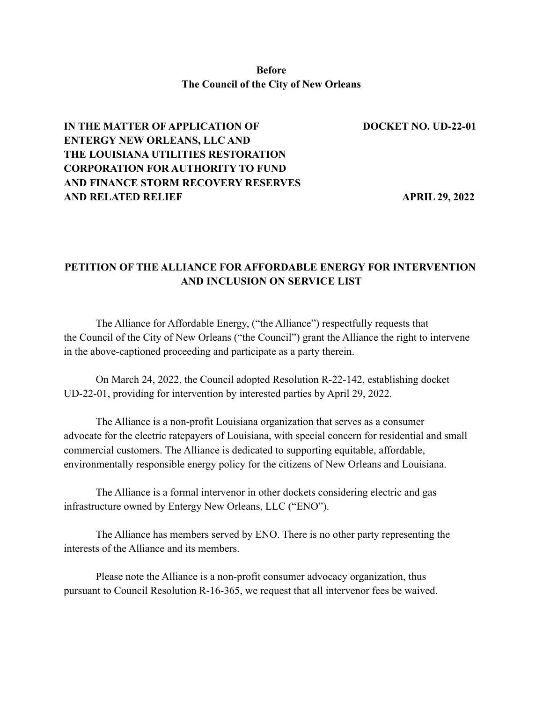### **Before The Council of the City of New Orleans**

# **IN THE MATTER OF APPLICATION OF DOCKET NO. UD-22-01 ENTERGY NEW ORLEANS, LLC AND THE LOUISIANA UTILITIES RESTORATION CORPORATION FOR AUTHORITY TO FUND AND FINANCE STORM RECOVERY RESERVES AND RELATED RELIEF APRIL 29, 2022**

## **PETITION OF THE ALLIANCE FOR AFFORDABLE ENERGY FOR INTERVENTION AND INCLUSION ON SERVICE LIST**

The Alliance for Affordable Energy, ("the Alliance") respectfully requests that the Council of the City of New Orleans ("the Council") grant the Alliance the right to intervene in the above-captioned proceeding and participate as a party therein.

On March 24, 2022, the Council adopted Resolution R-22-142, establishing docket UD-22-01, providing for intervention by interested parties by April 29, 2022.

The Alliance is a non-profit Louisiana organization that serves as a consumer advocate for the electric ratepayers of Louisiana, with special concern for residential and small commercial customers. The Alliance is dedicated to supporting equitable, affordable, environmentally responsible energy policy for the citizens of New Orleans and Louisiana.

The Alliance is a formal intervenor in other dockets considering electric and gas infrastructure owned by Entergy New Orleans, LLC ("ENO").

The Alliance has members served by ENO. There is no other party representing the interests of the Alliance and its members.

Please note the Alliance is a non-profit consumer advocacy organization, thus pursuant to Council Resolution R-16-365, we request that all intervenor fees be waived.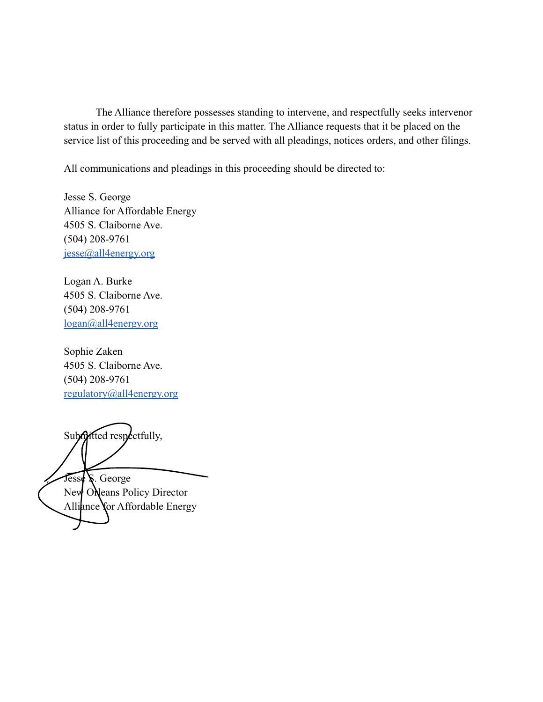The Alliance therefore possesses standing to intervene, and respectfully seeks intervenor status in order to fully participate in this matter. The Alliance requests that it be placed on the service list of this proceeding and be served with all pleadings, notices orders, and other filings.

All communications and pleadings in this proceeding should be directed to:

Jesse S. George Alliance for Affordable Energy 4505 S. Claiborne Ave. (504) 208-9761 jesse@all4energy.org

Logan A. Burke 4505 S. Claiborne Ave. (504) 208-9761 logan@all4energy.org

Sophie Zaken 4505 S. Claiborne Ave. (504) 208-9761 regulatory@all4energy.org

Submitted respectfully, Jesse S. George

New ONeans Policy Director Alliance for Affordable Energy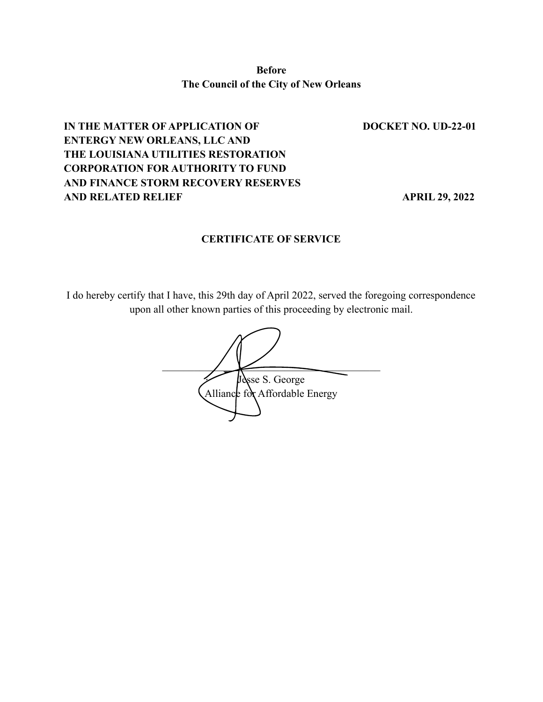**Before The Council of the City of New Orleans**

# **IN THE MATTER OF APPLICATION OF DOCKET NO. UD-22-01 ENTERGY NEW ORLEANS, LLC AND THE LOUISIANA UTILITIES RESTORATION CORPORATION FOR AUTHORITY TO FUND AND FINANCE STORM RECOVERY RESERVES AND RELATED RELIEF APRIL 29, 2022**

### **CERTIFICATE OF SERVICE**

I do hereby certify that I have, this 29th day of April 2022, served the foregoing correspondence upon all other known parties of this proceeding by electronic mail.

 $\overline{\phantom{a}}$ Jesse S. George Alliance for Affordable Energy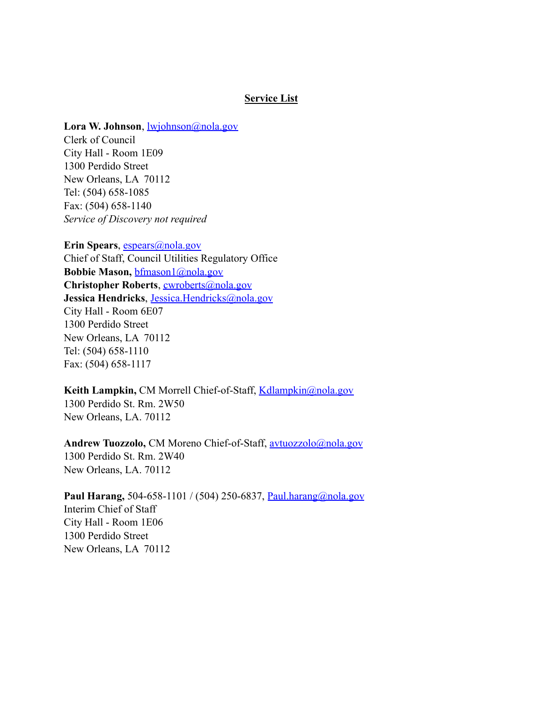#### **Service List**

#### **Lora W. Johnson**, lwjohnson@nola.gov

Clerk of Council City Hall - Room 1E09 1300 Perdido Street New Orleans, LA 70112 Tel: (504) 658-1085 Fax: (504) 658-1140 *Service of Discovery not required*

**Erin Spears**, espears@nola.gov Chief of Staff, Council Utilities Regulatory Office **Bobbie Mason,** bfmason1@nola.gov **Christopher Roberts**, cwroberts@nola.gov **Jessica Hendricks**, Jessica.Hendricks@nola.gov City Hall - Room 6E07 1300 Perdido Street New Orleans, LA 70112 Tel: (504) 658-1110 Fax: (504) 658-1117

**Keith Lampkin, CM Morrell Chief-of-Staff, Kdlampkin@nola.gov** 1300 Perdido St. Rm. 2W50 New Orleans, LA. 70112

**Andrew Tuozzolo,** CM Moreno Chief-of-Staff, avtuozzolo@nola.gov 1300 Perdido St. Rm. 2W40 New Orleans, LA. 70112

# **Paul Harang,** 504-658-1101 / (504) 250-6837, Paul.harang@nola.gov

Interim Chief of Staff City Hall - Room 1E06 1300 Perdido Street New Orleans, LA 70112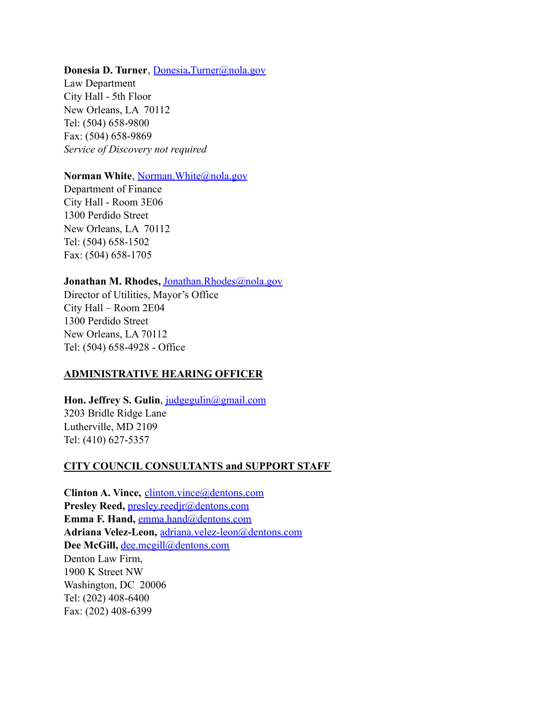#### **Donesia D. Turner**, Donesia**.**Turner@nola.gov

Law Department City Hall - 5th Floor New Orleans, LA 70112 Tel: (504) 658-9800 Fax: (504) 658-9869 *Service of Discovery not required*

#### Norman White, Norman.White@nola.gov

Department of Finance City Hall - Room 3E06 1300 Perdido Street New Orleans, LA 70112 Tel: (504) 658-1502 Fax: (504) 658-1705

### **Jonathan M. Rhodes,** Jonathan.Rhodes@nola.gov

Director of Utilities, Mayor's Office City Hall – Room 2E04 1300 Perdido Street New Orleans, LA 70112 Tel: (504) 658-4928 - Office

### **ADMINISTRATIVE HEARING OFFICER**

### **Hon. Jeffrey S. Gulin**, judgegulin@gmail.com 3203 Bridle Ridge Lane Lutherville, MD 2109 Tel: (410) 627-5357

#### **CITY COUNCIL CONSULTANTS and SUPPORT STAFF**

**Clinton A. Vince,** clinton.vince@dentons.com **Presley Reed,** presley.reedjr@dentons.com Emma F. Hand, emma.hand@dentons.com **Adriana Velez-Leon,** adriana.velez-leon@dentons.com Dee McGill, dee.mcgill@dentons.com Denton Law Firm, 1900 K Street NW Washington, DC 20006 Tel: (202) 408-6400 Fax: (202) 408-6399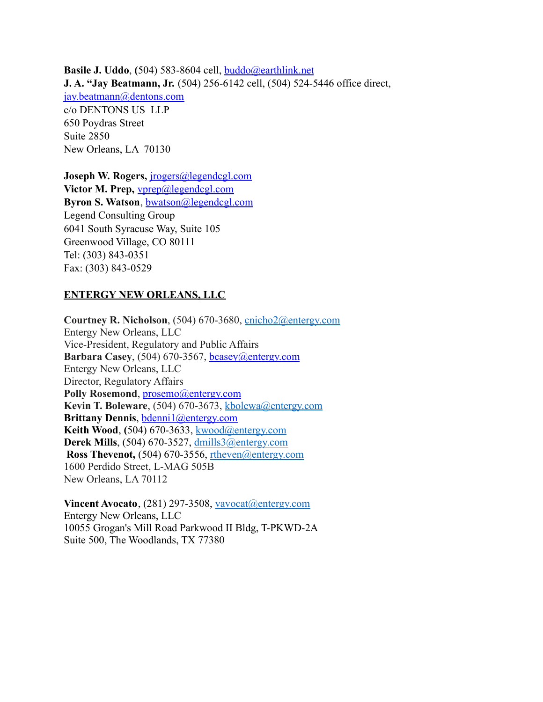**Basile J. Uddo**, **(**504) 583-8604 cell, buddo@earthlink.net **J. A. "Jay Beatmann, Jr.** (504) 256-6142 cell, (504) 524-5446 office direct, jay.beatmann@dentons.com c/o DENTONS US LLP 650 Poydras Street Suite 2850 New Orleans, LA 70130

**Joseph W. Rogers,** jrogers@legendcgl.com **Victor M. Prep,** vprep@legendcgl.com **Byron S. Watson**, bwatson@legendcgl.com Legend Consulting Group 6041 South Syracuse Way, Suite 105 Greenwood Village, CO 80111 Tel: (303) 843-0351 Fax: (303) 843-0529

### **ENTERGY NEW ORLEANS, LLC**

**Courtney R. Nicholson**, (504) 670-3680, cnicho2@entergy.com Entergy New Orleans, LLC Vice-President, Regulatory and Public Affairs **Barbara Casey**, (504) 670-3567, bcasey@entergy.com Entergy New Orleans, LLC Director, Regulatory Affairs Polly Rosemond, prosemo@entergy.com **Kevin T. Boleware**, (504) 670-3673, kbolewa@entergy.com **Brittany Dennis**, bdenni1@entergy.com **Keith Wood**, **(**504) 670-3633, kwood@entergy.com **Derek Mills**, (504) 670-3527, dmills3@entergy.com **Ross Thevenot,** (504) 670-3556, rtheven@entergy.com 1600 Perdido Street, L-MAG 505B New Orleans, LA 70112

**Vincent Avocato**, (281) 297-3508, vavocat@entergy.com Entergy New Orleans, LLC 10055 Grogan's Mill Road Parkwood II Bldg, T-PKWD-2A Suite 500, The Woodlands, TX 77380